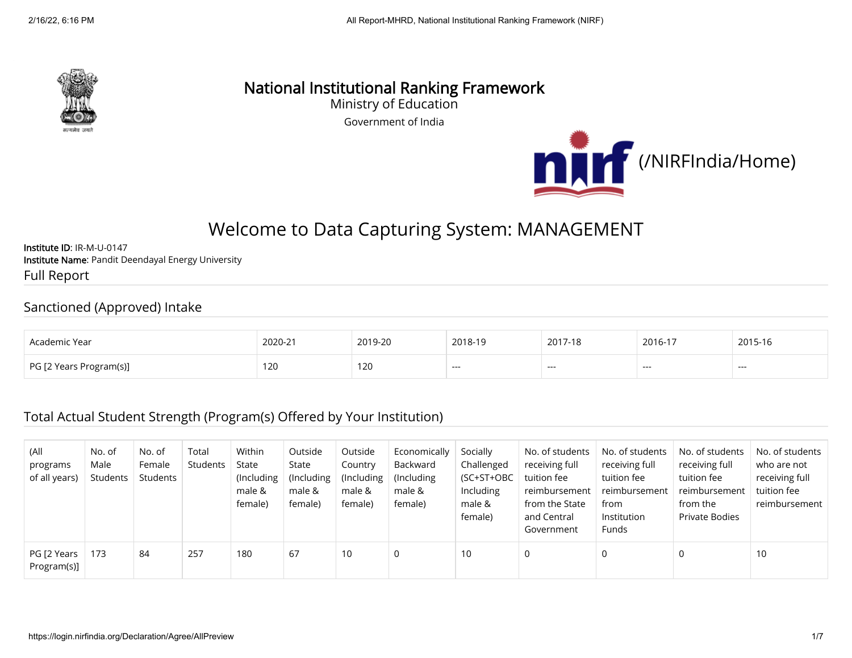

# National Institutional Ranking Framework

Ministry of Education

Government of India



# Welcome to Data Capturing System: MANAGEMENT

Institute ID: IR-M-U-0147 Institute Name: Pandit Deendayal Energy University Full Report

#### Sanctioned (Approved) Intake

| Academic Year           | 2020-21 | 2019-20        | 2018-19 | 2017-18 | 2016-17 | 2015-16 |
|-------------------------|---------|----------------|---------|---------|---------|---------|
| PG [2 Years Program(s)] | 120     | $\sim$<br>1 ZU | ---     | ----    | ---     | ---     |

#### Total Actual Student Strength (Program(s) Offered by Your Institution)

| (All<br>programs<br>of all years) | No. of<br>Male<br>Students | No. of<br>Female<br>Students | Total<br>Students | Within<br>State<br>(Including<br>male &<br>female) | Outside<br>State<br>(Including)<br>male &<br>female) | Outside<br>Country<br>(Including<br>male &<br>female) | Economically<br>Backward<br>(Including)<br>male &<br>female) | Socially<br>Challenged<br>(SC+ST+OBC<br>Including<br>male &<br>female) | No. of students<br>receiving full<br>tuition fee<br>reimbursement<br>from the State<br>and Central<br>Government | No. of students<br>receiving full<br>tuition fee<br>reimbursement<br>from<br>Institution<br>Funds | No. of students<br>receiving full<br>tuition fee<br>reimbursement<br>from the<br>Private Bodies | No. of students<br>who are not<br>receiving full<br>tuition fee<br>reimbursement |
|-----------------------------------|----------------------------|------------------------------|-------------------|----------------------------------------------------|------------------------------------------------------|-------------------------------------------------------|--------------------------------------------------------------|------------------------------------------------------------------------|------------------------------------------------------------------------------------------------------------------|---------------------------------------------------------------------------------------------------|-------------------------------------------------------------------------------------------------|----------------------------------------------------------------------------------|
| PG [2 Years<br>Program(s)]        | 173                        | 84                           | 257               | 180                                                | 67                                                   | 10                                                    | 0                                                            | 10                                                                     | 0                                                                                                                | 0                                                                                                 |                                                                                                 | 10                                                                               |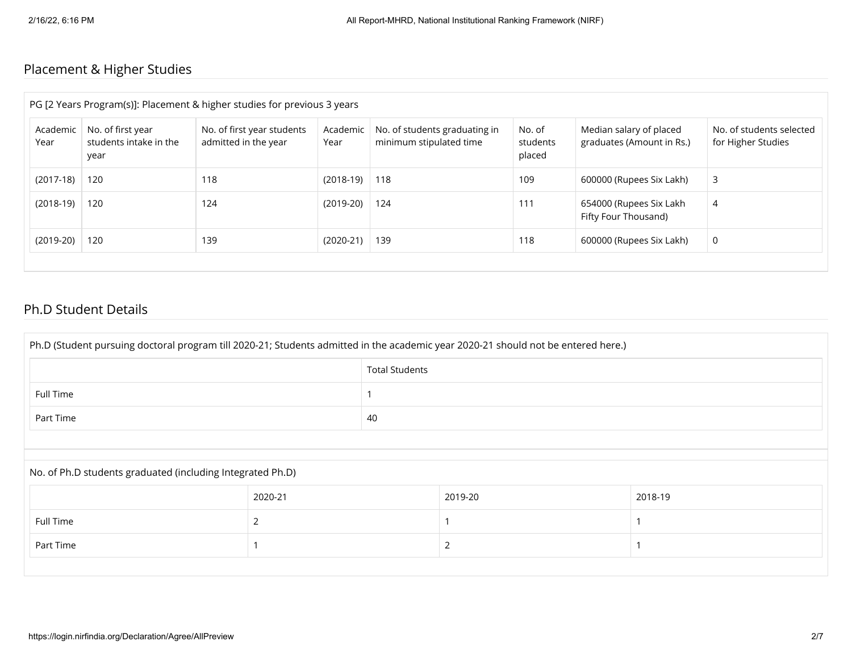# Placement & Higher Studies

| PG [2 Years Program(s)]: Placement & higher studies for previous 3 years |                                                     |                                                    |                  |                                                          |                              |                                                      |                                                |  |
|--------------------------------------------------------------------------|-----------------------------------------------------|----------------------------------------------------|------------------|----------------------------------------------------------|------------------------------|------------------------------------------------------|------------------------------------------------|--|
| Academic<br>Year                                                         | No. of first year<br>students intake in the<br>year | No. of first year students<br>admitted in the year | Academic<br>Year | No. of students graduating in<br>minimum stipulated time | No. of<br>students<br>placed | Median salary of placed<br>graduates (Amount in Rs.) | No. of students selected<br>for Higher Studies |  |
| $(2017-18)$                                                              | 120                                                 | 118                                                | $(2018-19)$      | 118                                                      | 109                          | 600000 (Rupees Six Lakh)                             | 3                                              |  |
| $(2018-19)$                                                              | 120                                                 | 124                                                | $(2019-20)$      | 124                                                      | 111                          | 654000 (Rupees Six Lakh<br>Fifty Four Thousand)      | 4                                              |  |
| $(2019-20)$                                                              | 120                                                 | 139                                                | $(2020-21)$      | 139                                                      | 118                          | 600000 (Rupees Six Lakh)                             | 0                                              |  |
|                                                                          |                                                     |                                                    |                  |                                                          |                              |                                                      |                                                |  |

#### Ph.D Student Details

| Ph.D (Student pursuing doctoral program till 2020-21; Students admitted in the academic year 2020-21 should not be entered here.) |                       |    |         |         |  |  |  |
|-----------------------------------------------------------------------------------------------------------------------------------|-----------------------|----|---------|---------|--|--|--|
|                                                                                                                                   | <b>Total Students</b> |    |         |         |  |  |  |
| <b>Full Time</b>                                                                                                                  |                       |    |         |         |  |  |  |
| Part Time                                                                                                                         |                       | 40 |         |         |  |  |  |
|                                                                                                                                   |                       |    |         |         |  |  |  |
| No. of Ph.D students graduated (including Integrated Ph.D)                                                                        |                       |    |         |         |  |  |  |
|                                                                                                                                   | 2020-21               |    | 2019-20 | 2018-19 |  |  |  |
| Full Time                                                                                                                         | 2                     |    |         |         |  |  |  |
| Part Time                                                                                                                         |                       |    | 2       |         |  |  |  |
|                                                                                                                                   |                       |    |         |         |  |  |  |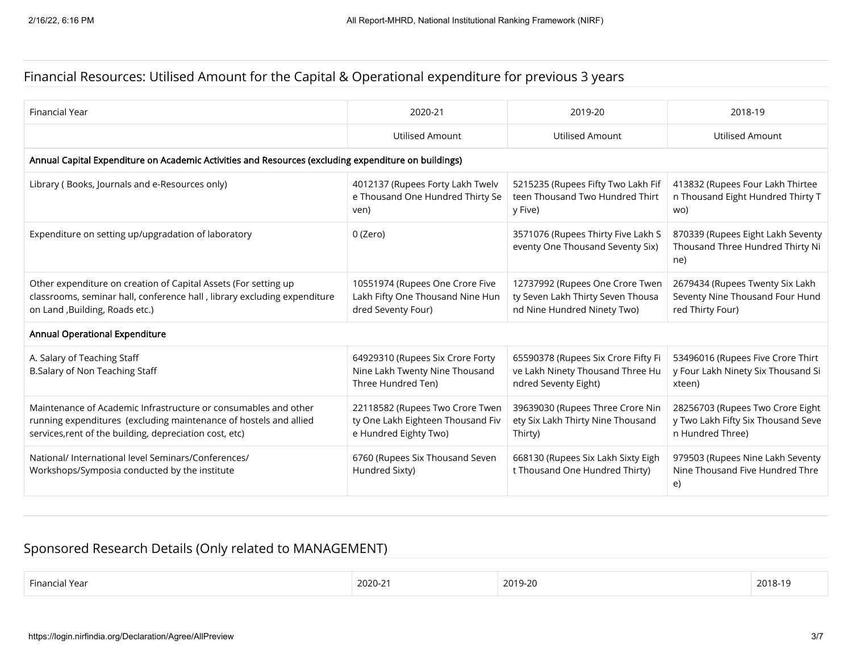## Financial Resources: Utilised Amount for the Capital & Operational expenditure for previous 3 years

| <b>Financial Year</b>                                                                                                                                                                           | 2020-21                                                                                       | 2019-20                                                                                             | 2018-19                                                                                    |  |  |  |  |  |  |
|-------------------------------------------------------------------------------------------------------------------------------------------------------------------------------------------------|-----------------------------------------------------------------------------------------------|-----------------------------------------------------------------------------------------------------|--------------------------------------------------------------------------------------------|--|--|--|--|--|--|
|                                                                                                                                                                                                 | <b>Utilised Amount</b>                                                                        | <b>Utilised Amount</b>                                                                              | <b>Utilised Amount</b>                                                                     |  |  |  |  |  |  |
| Annual Capital Expenditure on Academic Activities and Resources (excluding expenditure on buildings)                                                                                            |                                                                                               |                                                                                                     |                                                                                            |  |  |  |  |  |  |
| Library (Books, Journals and e-Resources only)                                                                                                                                                  | 4012137 (Rupees Forty Lakh Twelv<br>e Thousand One Hundred Thirty Se<br>ven)                  | 5215235 (Rupees Fifty Two Lakh Fif<br>teen Thousand Two Hundred Thirt<br>y Five)                    | 413832 (Rupees Four Lakh Thirtee<br>n Thousand Eight Hundred Thirty T<br>wo)               |  |  |  |  |  |  |
| Expenditure on setting up/upgradation of laboratory                                                                                                                                             | 0 (Zero)                                                                                      | 3571076 (Rupees Thirty Five Lakh S<br>eventy One Thousand Seventy Six)                              | 870339 (Rupees Eight Lakh Seventy<br>Thousand Three Hundred Thirty Ni<br>ne)               |  |  |  |  |  |  |
| Other expenditure on creation of Capital Assets (For setting up<br>classrooms, seminar hall, conference hall, library excluding expenditure<br>on Land , Building, Roads etc.)                  | 10551974 (Rupees One Crore Five<br>Lakh Fifty One Thousand Nine Hun<br>dred Seventy Four)     | 12737992 (Rupees One Crore Twen<br>ty Seven Lakh Thirty Seven Thousa<br>nd Nine Hundred Ninety Two) | 2679434 (Rupees Twenty Six Lakh<br>Seventy Nine Thousand Four Hund<br>red Thirty Four)     |  |  |  |  |  |  |
| Annual Operational Expenditure                                                                                                                                                                  |                                                                                               |                                                                                                     |                                                                                            |  |  |  |  |  |  |
| A. Salary of Teaching Staff<br>B.Salary of Non Teaching Staff                                                                                                                                   | 64929310 (Rupees Six Crore Forty<br>Nine Lakh Twenty Nine Thousand<br>Three Hundred Ten)      | 65590378 (Rupees Six Crore Fifty Fi<br>ve Lakh Ninety Thousand Three Hu<br>ndred Seventy Eight)     | 53496016 (Rupees Five Crore Thirt<br>y Four Lakh Ninety Six Thousand Si<br>xteen)          |  |  |  |  |  |  |
| Maintenance of Academic Infrastructure or consumables and other<br>running expenditures (excluding maintenance of hostels and allied<br>services, rent of the building, depreciation cost, etc) | 22118582 (Rupees Two Crore Twen<br>ty One Lakh Eighteen Thousand Fiv<br>e Hundred Eighty Two) | 39639030 (Rupees Three Crore Nin<br>ety Six Lakh Thirty Nine Thousand<br>Thirty)                    | 28256703 (Rupees Two Crore Eight<br>y Two Lakh Fifty Six Thousand Seve<br>n Hundred Three) |  |  |  |  |  |  |
| National/ International level Seminars/Conferences/<br>Workshops/Symposia conducted by the institute                                                                                            | 6760 (Rupees Six Thousand Seven<br>Hundred Sixty)                                             | 668130 (Rupees Six Lakh Sixty Eigh<br>t Thousand One Hundred Thirty)                                | 979503 (Rupees Nine Lakh Seventy<br>Nine Thousand Five Hundred Thre<br>e)                  |  |  |  |  |  |  |

# Sponsored Research Details (Only related to MANAGEMENT)

| Financ. |            |         |         |
|---------|------------|---------|---------|
| ' Year  | $2020 - 2$ | 2019-20 | 2018-19 |
|         |            |         |         |
|         |            |         |         |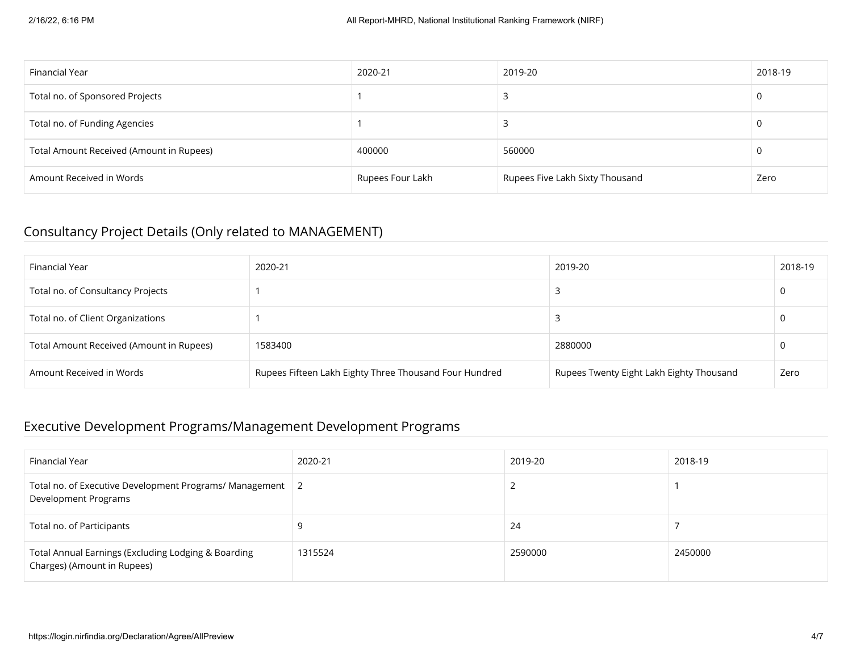| Financial Year                           | 2020-21          | 2019-20                         | 2018-19 |
|------------------------------------------|------------------|---------------------------------|---------|
| Total no. of Sponsored Projects          |                  |                                 | 0       |
| Total no. of Funding Agencies            |                  |                                 | 0       |
| Total Amount Received (Amount in Rupees) | 400000           | 560000                          | U       |
| Amount Received in Words                 | Rupees Four Lakh | Rupees Five Lakh Sixty Thousand | Zero    |

## Consultancy Project Details (Only related to MANAGEMENT)

| Financial Year                           | 2020-21                                                | 2019-20                                  | 2018-19 |
|------------------------------------------|--------------------------------------------------------|------------------------------------------|---------|
| Total no. of Consultancy Projects        |                                                        |                                          |         |
| Total no. of Client Organizations        |                                                        |                                          |         |
| Total Amount Received (Amount in Rupees) | 1583400                                                | 2880000                                  |         |
| Amount Received in Words                 | Rupees Fifteen Lakh Eighty Three Thousand Four Hundred | Rupees Twenty Eight Lakh Eighty Thousand | Zero    |

# Executive Development Programs/Management Development Programs

| Financial Year                                                                     | 2020-21 | 2019-20 | 2018-19 |
|------------------------------------------------------------------------------------|---------|---------|---------|
| Total no. of Executive Development Programs/ Management 2<br>Development Programs  |         |         |         |
| Total no. of Participants                                                          |         | 24      |         |
| Total Annual Earnings (Excluding Lodging & Boarding<br>Charges) (Amount in Rupees) | 1315524 | 2590000 | 2450000 |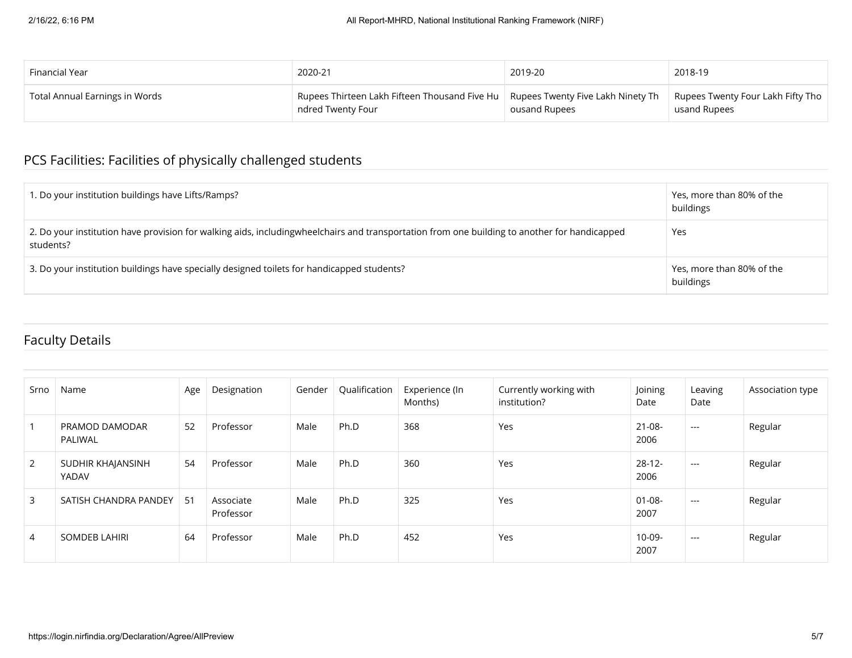| Financial Year                 | 2020-21                                       | 2019-20                           | 2018-19                           |
|--------------------------------|-----------------------------------------------|-----------------------------------|-----------------------------------|
| Total Annual Earnings in Words | Rupees Thirteen Lakh Fifteen Thousand Five Hu | Rupees Twenty Five Lakh Ninety Th | Rupees Twenty Four Lakh Fifty Tho |
|                                | ndred Twenty Four                             | ousand Rupees                     | usand Rupees                      |

# PCS Facilities: Facilities of physically challenged students

| 1. Do your institution buildings have Lifts/Ramps?                                                                                                        | Yes, more than 80% of the<br>buildings |
|-----------------------------------------------------------------------------------------------------------------------------------------------------------|----------------------------------------|
| 2. Do your institution have provision for walking aids, includingwheelchairs and transportation from one building to another for handicapped<br>students? | Yes                                    |
| 3. Do your institution buildings have specially designed toilets for handicapped students?                                                                | Yes, more than 80% of the<br>buildings |

## Faculty Details

| Srno           | Name                       | Age | Designation            | Gender | Qualification | Experience (In<br>Months) | Currently working with<br>institution? | Joining<br>Date     | Leaving<br>Date           | Association type |
|----------------|----------------------------|-----|------------------------|--------|---------------|---------------------------|----------------------------------------|---------------------|---------------------------|------------------|
|                | PRAMOD DAMODAR<br>PALIWAL  | 52  | Professor              | Male   | Ph.D          | 368                       | Yes                                    | $21 - 08 -$<br>2006 | $\qquad \qquad -\qquad -$ | Regular          |
| 2              | SUDHIR KHAJANSINH<br>YADAV | 54  | Professor              | Male   | Ph.D          | 360                       | Yes                                    | $28-12-$<br>2006    | $\cdots$                  | Regular          |
| 3              | SATISH CHANDRA PANDEY      | 51  | Associate<br>Professor | Male   | Ph.D          | 325                       | Yes                                    | $01 - 08 -$<br>2007 | $---$                     | Regular          |
| $\overline{4}$ | <b>SOMDEB LAHIRI</b>       | 64  | Professor              | Male   | Ph.D          | 452                       | Yes                                    | 10-09-<br>2007      | $\cdots$                  | Regular          |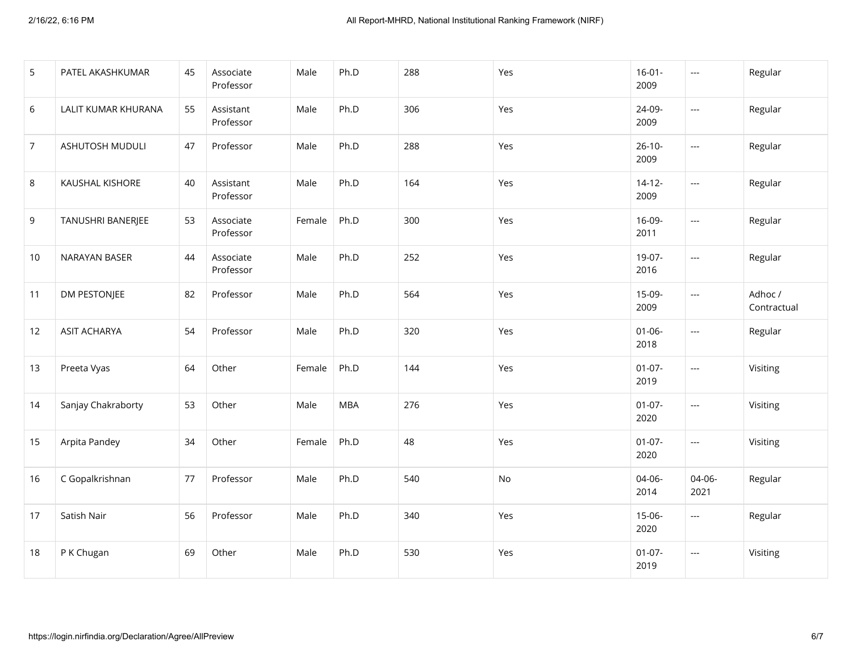| 5              | PATEL AKASHKUMAR    | 45 | Associate<br>Professor | Male   | Ph.D       | 288 | Yes | $16 - 01 -$<br>2009 | $\sim$ $\sim$            | Regular                |
|----------------|---------------------|----|------------------------|--------|------------|-----|-----|---------------------|--------------------------|------------------------|
| 6              | LALIT KUMAR KHURANA | 55 | Assistant<br>Professor | Male   | Ph.D       | 306 | Yes | 24-09-<br>2009      | $\overline{a}$           | Regular                |
| $\overline{7}$ | ASHUTOSH MUDULI     | 47 | Professor              | Male   | Ph.D       | 288 | Yes | $26 - 10 -$<br>2009 | $\overline{\phantom{a}}$ | Regular                |
| 8              | KAUSHAL KISHORE     | 40 | Assistant<br>Professor | Male   | Ph.D       | 164 | Yes | $14 - 12 -$<br>2009 | $\sim$ $\sim$            | Regular                |
| 9              | TANUSHRI BANERJEE   | 53 | Associate<br>Professor | Female | Ph.D       | 300 | Yes | 16-09-<br>2011      | $\sim$ $\sim$            | Regular                |
| 10             | NARAYAN BASER       | 44 | Associate<br>Professor | Male   | Ph.D       | 252 | Yes | 19-07-<br>2016      | $\overline{a}$           | Regular                |
| 11             | <b>DM PESTONJEE</b> | 82 | Professor              | Male   | Ph.D       | 564 | Yes | 15-09-<br>2009      | $\sim$ $\sim$            | Adhoc /<br>Contractual |
| 12             | <b>ASIT ACHARYA</b> | 54 | Professor              | Male   | Ph.D       | 320 | Yes | $01 - 06 -$<br>2018 | $\sim$ $\sim$            | Regular                |
| 13             | Preeta Vyas         | 64 | Other                  | Female | Ph.D       | 144 | Yes | $01-07-$<br>2019    | $\sim$ $\sim$            | Visiting               |
| 14             | Sanjay Chakraborty  | 53 | Other                  | Male   | <b>MBA</b> | 276 | Yes | $01-07-$<br>2020    | $\overline{a}$           | Visiting               |
| 15             | Arpita Pandey       | 34 | Other                  | Female | Ph.D       | 48  | Yes | $01-07-$<br>2020    | $\overline{\phantom{a}}$ | Visiting               |
| 16             | C Gopalkrishnan     | 77 | Professor              | Male   | Ph.D       | 540 | No  | 04-06-<br>2014      | 04-06-<br>2021           | Regular                |
| 17             | Satish Nair         | 56 | Professor              | Male   | Ph.D       | 340 | Yes | $15-06-$<br>2020    | $\overline{a}$           | Regular                |
| 18             | P K Chugan          | 69 | Other                  | Male   | Ph.D       | 530 | Yes | $01-07-$<br>2019    | $\scriptstyle \cdots$    | Visiting               |